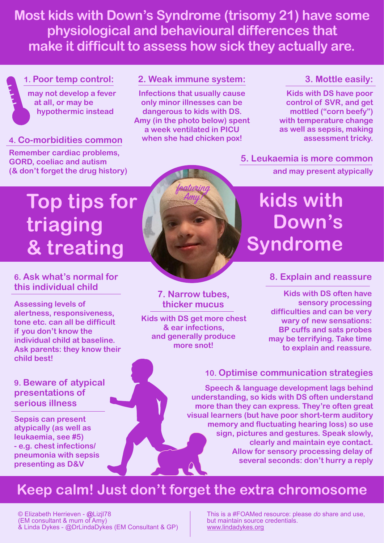**Most kids with Down's Syndrome (trisomy 21) have some physiological and behavioural differences that make it difficult to assess how sick they actually are.** 

### **1. Poor temp control:**

**may not develop a fever at all, or may be hypothermic instead** 

**Remember cardiac problems, GORD, coeliac and autism (& don't forget the drug history)**

#### **2. Weak immune system:**

**Infections that usually cause only minor illnesses can be dangerous to kids with DS. Amy (in the photo below) spent a week ventilated in PICU when she had chicken pox! 4. Co-morbidities common assessment tricky.** 

featuing Amy!

#### **3. Mottle easily:**

**Kids with DS have poor control of SVR, and get mottled ("corn beefy") with temperature change as well as sepsis, making** 

**5. Leukaemia is more common** 

**and may present atypically** 

# **Top tips for triaging & treating**

#### **6. Ask what's normal for this individual child**

**Assessing levels of alertness, responsiveness, tone etc. can all be difficult if you don't know the individual child at baseline. Ask parents: they know their child best!** 

#### **9. Beware of atypical presentations of serious illness**

**Sepsis can present atypically (as well as leukaemia, see #5) - e.g. chest infections/ pneumonia with sepsis presenting as D&V** 

**7. Narrow tubes, thicker mucus** 

**Kids with DS get more chest & ear infections, and generally produce more snot!** 

# **kids with Down's Syndrome**

### **8. Explain and reassure**

**Kids with DS often have sensory processing difficulties and can be very wary of new sensations: BP cuffs and sats probes may be terrifying. Take time to explain and reassure.** 

### **10. Optimise communication strategies**

**Speech & language development lags behind understanding, so kids with DS often understand more than they can express. They're often great visual learners (but have poor short-term auditory memory and fluctuating hearing loss) so use sign, pictures and gestures. Speak slowly, clearly and maintain eye contact. Allow for sensory processing delay of several seconds: don't hurry a reply**

### **Keep calm! Just don't forget the extra chromosome**

© Elizabeth Herrieven - **@**[Lizjl78](https://twitter.com/Lizjl78) (EM consultant & mum [of Amy\)](https://twitter.com/Lizjl78)  & Linda Dykes - @DrLindaDykes (EM Consultant & GP)

This is a #FOAMed resource: please *do* share and use, but maintain source credentials. [www.lindadykes.org](http://www.lindadykes.org)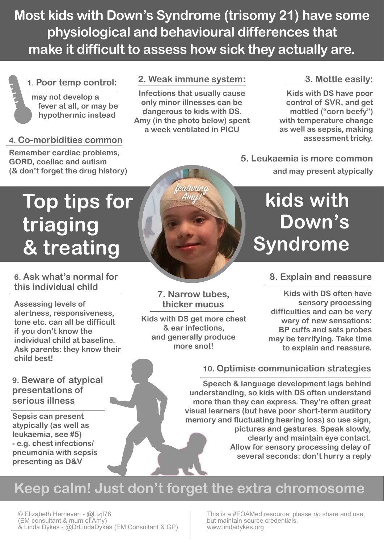**Most kids with Down's Syndrome (trisomy 21) have some physiological and behavioural differences that make it difficult to assess how sick they actually are.** 

### **1. Poor temp control:**

**may not develop a fever at all, or may be hypothermic instead** 

### **4. Co-morbidities common assessment tricky.**

**Remember cardiac problems, GORD, coeliac and autism (& don't forget the drug history)**

### **2. Weak immune system:**

**Infections that usually cause only minor illnesses can be dangerous to kids with DS. Amy (in the photo below) spent a week ventilated in PICU** 

featuing Amy!

featuring

**3. Mottle easily:** 

**Kids with DS have poor control of SVR, and get mottled ("corn beefy") with temperature change as well as sepsis, making** 

**5. Leukaemia is more common** 

**and may present atypically** 

# **Top tips for triaging & treating**

### **6. Ask what's normal for this individual child**

**Assessing levels of alertness, responsiveness, tone etc. can all be difficult if you don't know the individual child at baseline. Ask parents: they know their child best!** 

### **9. Beware of atypical presentations of serious illness**

**Sepsis can present atypically (as well as leukaemia, see #5) - e.g. chest infections/ pneumonia with sepsis presenting as D&V** 

**7. Narrow tubes, thicker mucus** 

**Kids with DS get more chest & ear infections, and generally produce more snot!** 

## **kids with Down's Syndrome**

### **8. Explain and reassure**

**Kids with DS often have sensory processing difficulties and can be very wary of new sensations: BP cuffs and sats probes may be terrifying. Take time to explain and reassure.** 

**10. Optimise communication strategies**

**Speech & language development lags behind understanding, so kids with DS often understand more than they can express. They're often great visual learners (but have poor short-term auditory memory and fluctuating hearing loss) so use sign, pictures and gestures. Speak slowly, clearly and maintain eye contact. Allow for sensory processing delay of several seconds: don't hurry a reply**

### **Keep calm! Just don't forget the extra chromosome**

© Elizabeth Herrieven - **@**[Lizjl78](https://twitter.com/Lizjl78) (EM consultant & mum [of Amy\)](https://twitter.com/Lizjl78)  & Linda Dykes - @DrLindaDykes (EM Consultant & GP)

This is a #FOAMed resource: please *do* share and use, but maintain source credentials. [www.lindadykes.org](http://www.lindadykes.org)